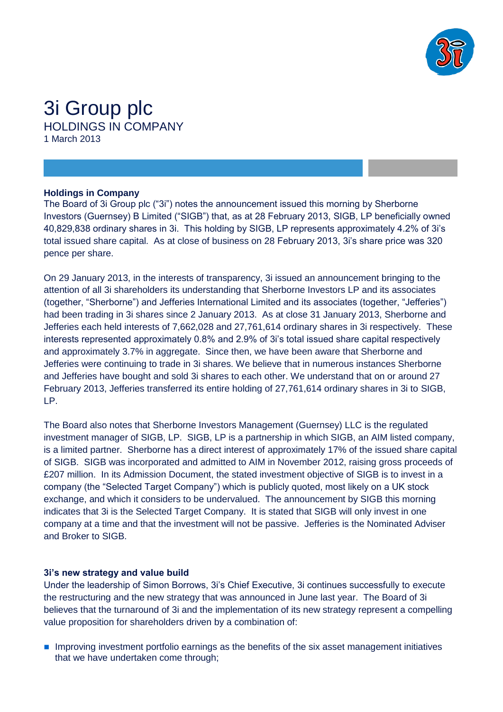

# 3i Group plc HOLDINGS IN COMPANY 1 March 2013

### **Holdings in Company**

The Board of 3i Group plc ("3i") notes the announcement issued this morning by Sherborne Investors (Guernsey) B Limited ("SIGB") that, as at 28 February 2013, SIGB, LP beneficially owned 40,829,838 ordinary shares in 3i. This holding by SIGB, LP represents approximately 4.2% of 3i's total issued share capital. As at close of business on 28 February 2013, 3i's share price was 320 pence per share.

On 29 January 2013, in the interests of transparency, 3i issued an announcement bringing to the attention of all 3i shareholders its understanding that Sherborne Investors LP and its associates (together, "Sherborne") and Jefferies International Limited and its associates (together, "Jefferies") had been trading in 3i shares since 2 January 2013. As at close 31 January 2013, Sherborne and Jefferies each held interests of 7,662,028 and 27,761,614 ordinary shares in 3i respectively. These interests represented approximately 0.8% and 2.9% of 3i's total issued share capital respectively and approximately 3.7% in aggregate. Since then, we have been aware that Sherborne and Jefferies were continuing to trade in 3i shares. We believe that in numerous instances Sherborne and Jefferies have bought and sold 3i shares to each other. We understand that on or around 27 February 2013, Jefferies transferred its entire holding of 27,761,614 ordinary shares in 3i to SIGB, LP.

The Board also notes that Sherborne Investors Management (Guernsey) LLC is the regulated investment manager of SIGB, LP. SIGB, LP is a partnership in which SIGB, an AIM listed company, is a limited partner. Sherborne has a direct interest of approximately 17% of the issued share capital of SIGB. SIGB was incorporated and admitted to AIM in November 2012, raising gross proceeds of £207 million. In its Admission Document, the stated investment objective of SIGB is to invest in a company (the "Selected Target Company") which is publicly quoted, most likely on a UK stock exchange, and which it considers to be undervalued. The announcement by SIGB this morning indicates that 3i is the Selected Target Company. It is stated that SIGB will only invest in one company at a time and that the investment will not be passive. Jefferies is the Nominated Adviser and Broker to SIGB.

## **3i's new strategy and value build**

Under the leadership of Simon Borrows, 3i's Chief Executive, 3i continues successfully to execute the restructuring and the new strategy that was announced in June last year. The Board of 3i believes that the turnaround of 3i and the implementation of its new strategy represent a compelling value proposition for shareholders driven by a combination of:

**Improving investment portfolio earnings as the benefits of the six asset management initiatives** that we have undertaken come through;